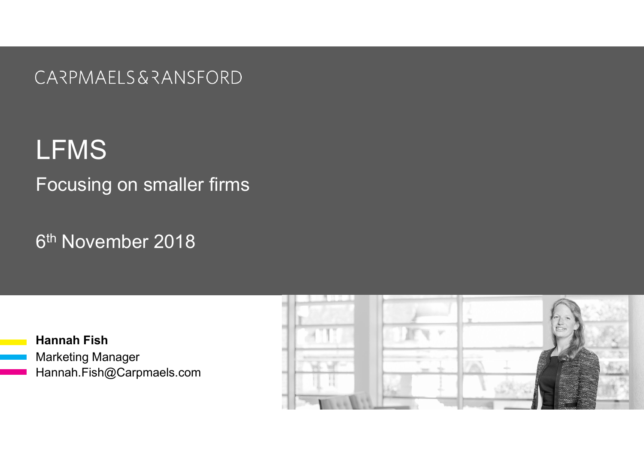CARPMAELS & RANSFORD

LFMS Focusing on smaller firms

6 th November 2018

Hannah Fish Marketing Manager Hannah.Fish@Carpmaels.com

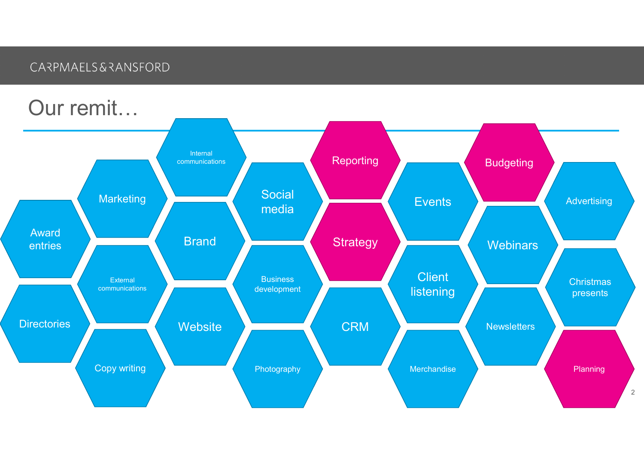### CARPMAELS&RANSFORD

## Our remit…

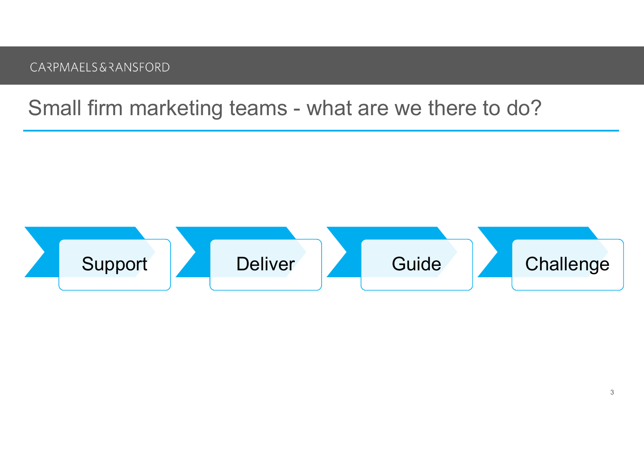# CARPMAELS&RANSFORD<br>Small firm marketing teams - what are we there to do?

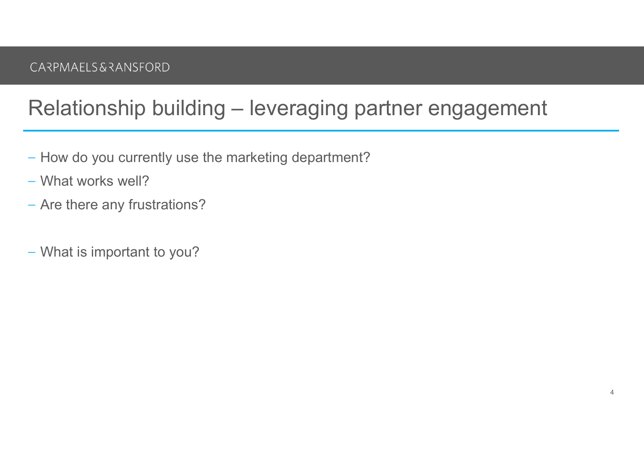# CARPMAELS&RANSFORD<br>Relationship building – leveraging partner engagement<br>– How do you currently use the marketing department?

- 
- What works well?
- Are there any frustrations?
- What is important to you?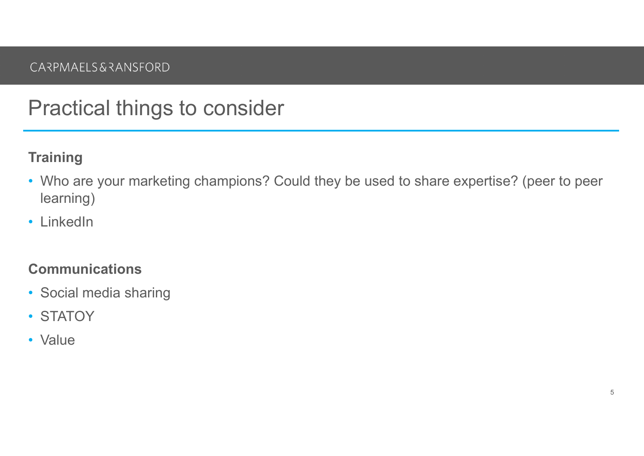### Practical things to consider

### **Training**

- Who are your marketing champions? Could they be used to share expertise? (peer to peer learning)
- LinkedIn

### Communications

- Social media sharing
- STATOY
- Value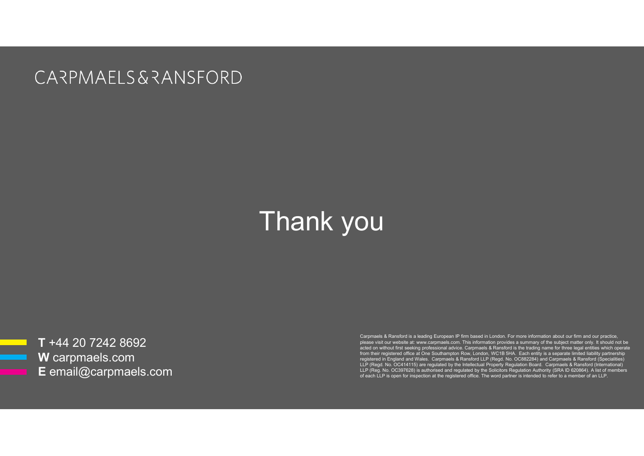**CARPMAELS & RANSFORD** 

## Thank you

T +44 20 7242 8692 W carpmaels.com E email@carpmaels.com Carpmaels & Ransford is a leading European IP firm based in London. For more information about our firm and our practice, please visit our website at: www.carpmaels.com. This information provides a summary of the subject matter only. It should not be acted on without first seeking professional advice. Carpmaels & Ransford is the trading name for three legal entities which operate from their registered office at One Southampton Row, London, WC1B 5HA. Each entity is a separate limited liability partnership<br>Engistered in England and Wales. Carpmaels & Ransford LLP (Regd. No. OC882284) and Carpmaels &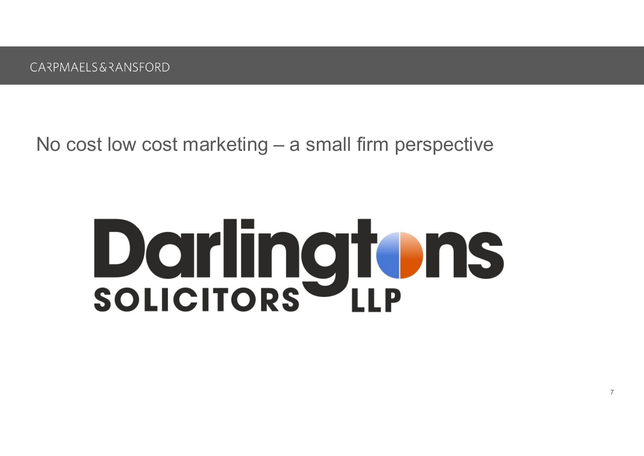ARPMAELS&RANSFORD<br>No cost low cost marketing – a small firm perspective

## **Darlingtons**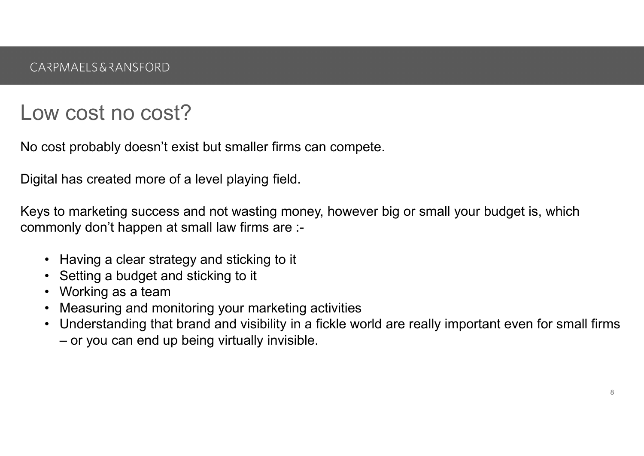### Low cost no cost?

No cost probably doesn't exist but smaller firms can compete.

Digital has created more of a level playing field.

Keys to marketing success and not wasting money, however big or small your budget is, which commonly don't happen at small law firms are :- PMAELS&RANSFORD<br>
W COSt NO COSt?<br>
cost probably doesn't exist but smaller firms can comp<br>
tal has created more of a level playing field.<br>
s to marketing success and not wasting money, howe<br>
monly don't happen at small law W COSt NO COSt?<br>
Cost probably doesn't exist but smaller firms care<br>
tal has created more of a level playing field.<br>
Sticking sticking sticking money,<br>
monly don't happen at small law firms are :-<br>
• Having a clear strateg W COSt NO COSt?<br>
cost probably doesn't exist but smaller firms can competent and has created more of a level playing field.<br>
s to marketing success and not wasting money, however<br>
monly don't happen at small law firms are W COST NO COST?<br>
Cost probably doesn't exist but smaller firms can compete.<br>
tal has created more of a level playing field.<br>
s to marketing success and not wasting money, however big or small your<br>
monly don't happen at sm • Understanding that brand and visibility in a fickle world are really inportant even for small summonly don't happen at small law firms are :-<br>• Having a clear strategy and sticking to it<br>• Setting a clear strategy and st is probably doesn't exist but smaller firms can<br>has created more of a level playing field.<br>Do marketing success and not wasting money<br>only don't happen at small law firms are :-<br>Having a clear strategy and sticking to it<br>S

- 
- 
- 
- 
-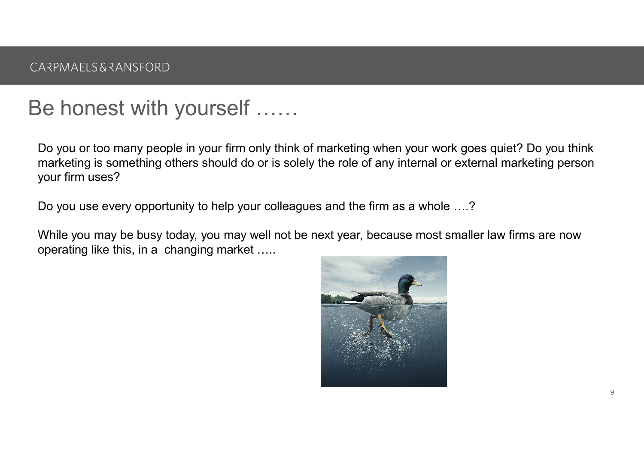### Be honest with yourself ……

Do you or too many people in your firm only think of marketing when your work goes quiet? Do you think marketing is something others should do or is solely the role of any internal or external marketing person your firm uses?

Do you use every opportunity to help your colleagues and the firm as a whole ….?

While you may be busy today, you may well not be next year, because most smaller law firms are now operating like this, in a changing market …..

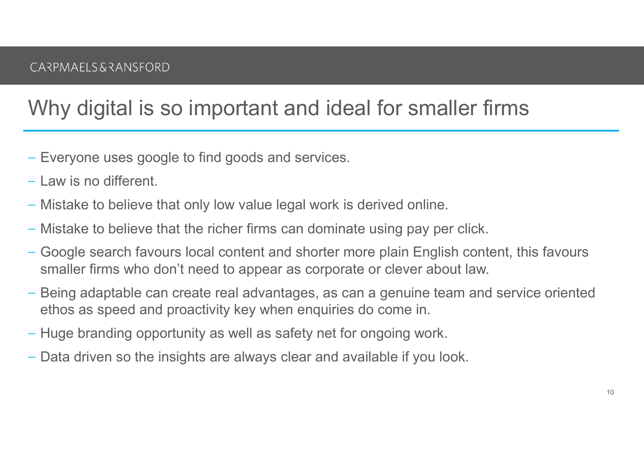## Why digital is so important and ideal for smaller firms

- Everyone uses google to find goods and services.
- Law is no different.
- Mistake to believe that only low value legal work is derived online.
- Mistake to believe that the richer firms can dominate using pay per click.
- Google search favours local content and shorter more plain English content, this favours smaller firms who don't need to appear as corporate or clever about law.
- Being adaptable can create real advantages, as can a genuine team and service oriented ethos as speed and proactivity key when enquiries do come in.
- Huge branding opportunity as well as safety net for ongoing work.
- Data driven so the insights are always clear and available if you look.